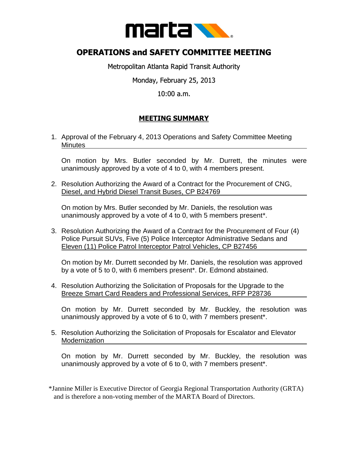

## **OPERATIONS and SAFETY COMMITTEE MEETING**

Metropolitan Atlanta Rapid Transit Authority

Monday, February 25, 2013

10:00 a.m.

## **MEETING SUMMARY**

1. Approval of the February 4, 2013 Operations and Safety Committee Meeting **Minutes** 

On motion by Mrs. Butler seconded by Mr. Durrett, the minutes were unanimously approved by a vote of 4 to 0, with 4 members present.

2. Resolution Authorizing the Award of a Contract for the Procurement of CNG, Diesel, and Hybrid Diesel Transit Buses, CP B24769

On motion by Mrs. Butler seconded by Mr. Daniels, the resolution was unanimously approved by a vote of 4 to 0, with 5 members present\*.

3. Resolution Authorizing the Award of a Contract for the Procurement of Four (4) Police Pursuit SUVs, Five (5) Police Interceptor Administrative Sedans and Eleven (11) Police Patrol Interceptor Patrol Vehicles, CP B27456

On motion by Mr. Durrett seconded by Mr. Daniels, the resolution was approved by a vote of 5 to 0, with 6 members present\*. Dr. Edmond abstained.

4. Resolution Authorizing the Solicitation of Proposals for the Upgrade to the Breeze Smart Card Readers and Professional Services, RFP P28736

On motion by Mr. Durrett seconded by Mr. Buckley, the resolution was unanimously approved by a vote of 6 to 0, with 7 members present\*.

5. Resolution Authorizing the Solicitation of Proposals for Escalator and Elevator Modernization

On motion by Mr. Durrett seconded by Mr. Buckley, the resolution was unanimously approved by a vote of 6 to 0, with 7 members present\*.

\*Jannine Miller is Executive Director of Georgia Regional Transportation Authority (GRTA) and is therefore a non-voting member of the MARTA Board of Directors.